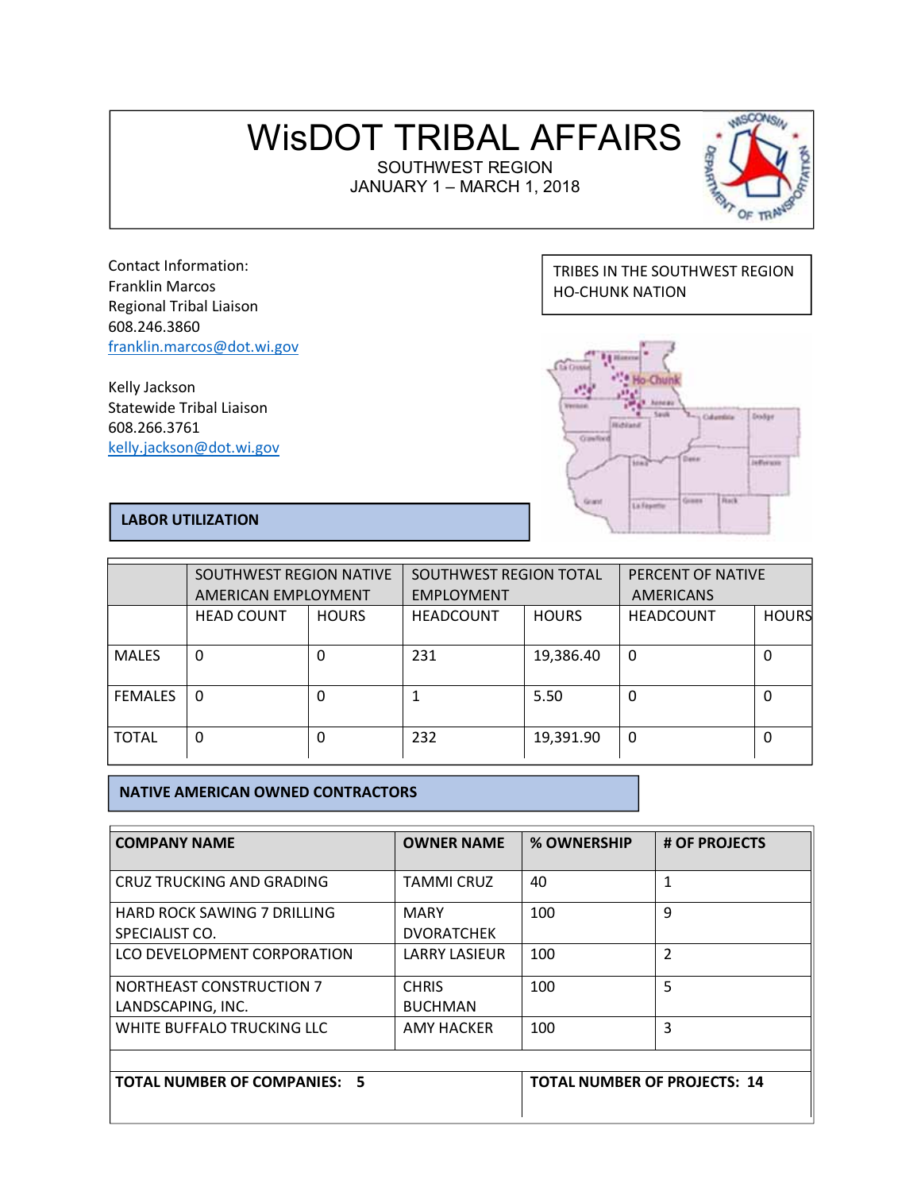# WisDOT TRIBAL AFFAIRS

SOUTHWEST REGION JANUARY 1 – MARCH 1, 2018



Contact Information: Franklin Marcos Regional Tribal Liaison 608.246.3860 franklin.marcos@dot.wi.gov

Kelly Jackson Statewide Tribal Liaison 608.266.3761 kelly.jackson@dot.wi.gov

# TRIBES IN THE SOUTHWEST REGION HO-CHUNK NATION



# **LABOR UTILIZATION**

|                | SOUTHWEST REGION NATIVE<br>AMERICAN EMPLOYMENT |              | SOUTHWEST REGION TOTAL<br><b>EMPLOYMENT</b> |              | PERCENT OF NATIVE<br><b>AMERICANS</b> |              |
|----------------|------------------------------------------------|--------------|---------------------------------------------|--------------|---------------------------------------|--------------|
|                | <b>HEAD COUNT</b>                              | <b>HOURS</b> | <b>HEADCOUNT</b>                            | <b>HOURS</b> | <b>HEADCOUNT</b>                      | <b>HOURS</b> |
| <b>MALES</b>   | $\Omega$                                       | 0            | 231                                         | 19,386.40    | 0                                     | 0            |
| <b>FEMALES</b> | $\Omega$                                       | 0            |                                             | 5.50         | 0                                     | 0            |
| <b>TOTAL</b>   | 0                                              | 0            | 232                                         | 19,391.90    | 0                                     | 0            |

## **NATIVE AMERICAN OWNED CONTRACTORS**

| <b>COMPANY NAME</b>                                  | <b>OWNER NAME</b>                   | % OWNERSHIP | # OF PROJECTS |
|------------------------------------------------------|-------------------------------------|-------------|---------------|
| CRUZ TRUCKING AND GRADING                            | <b>TAMMI CRUZ</b>                   | 40          | 1             |
| <b>HARD ROCK SAWING 7 DRILLING</b><br>SPECIALIST CO. | <b>MARY</b><br><b>DVORATCHEK</b>    | 100         | 9             |
| LCO DEVELOPMENT CORPORATION                          | <b>LARRY LASIEUR</b>                | 100         | C.            |
| <b>NORTHEAST CONSTRUCTION 7</b><br>LANDSCAPING, INC. | <b>CHRIS</b><br><b>BUCHMAN</b>      | 100         | 5             |
| WHITE BUFFALO TRUCKING LLC                           | AMY HACKER                          | 100         | 3             |
| <b>TOTAL NUMBER OF COMPANIES: 5</b>                  | <b>TOTAL NUMBER OF PROJECTS: 14</b> |             |               |